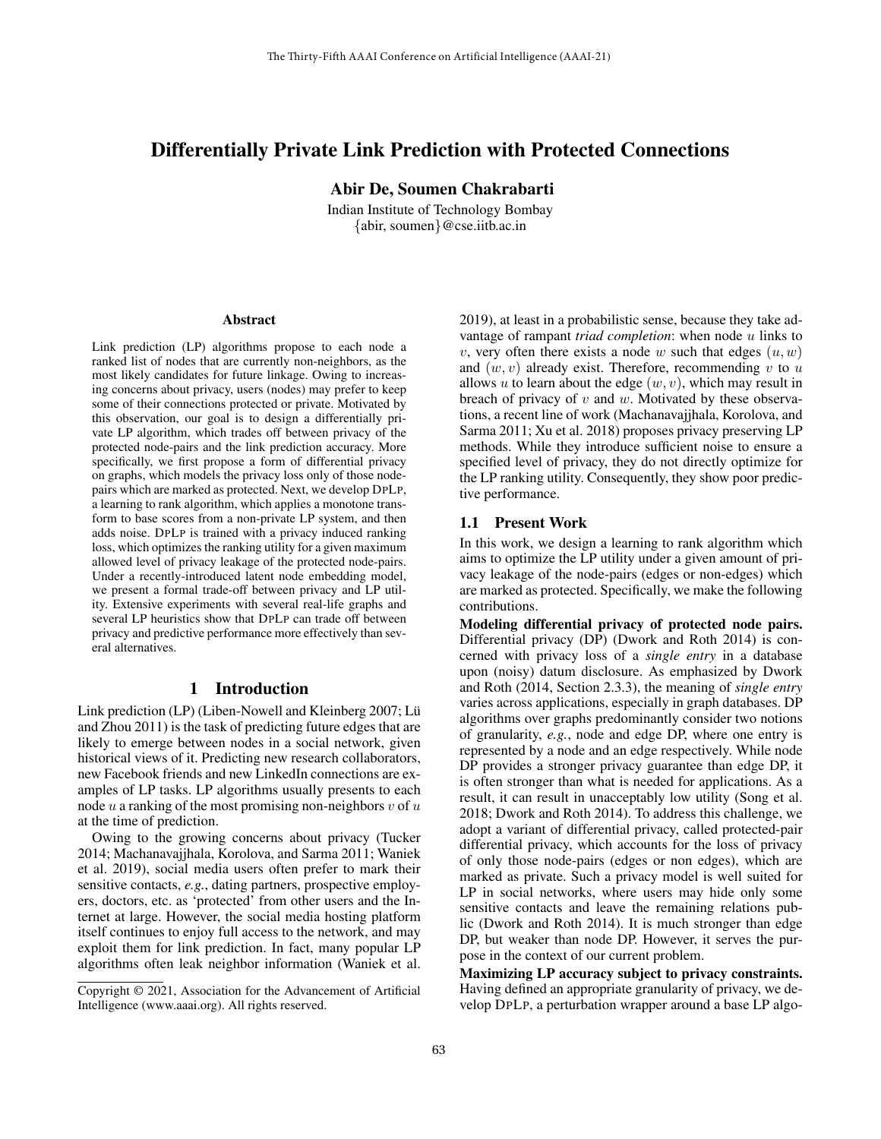# Differentially Private Link Prediction with Protected Connections

Abir De, Soumen Chakrabarti

Indian Institute of Technology Bombay {abir, soumen}@cse.iitb.ac.in

#### Abstract

Link prediction (LP) algorithms propose to each node a ranked list of nodes that are currently non-neighbors, as the most likely candidates for future linkage. Owing to increasing concerns about privacy, users (nodes) may prefer to keep some of their connections protected or private. Motivated by this observation, our goal is to design a differentially private LP algorithm, which trades off between privacy of the protected node-pairs and the link prediction accuracy. More specifically, we first propose a form of differential privacy on graphs, which models the privacy loss only of those nodepairs which are marked as protected. Next, we develop DPLP, a learning to rank algorithm, which applies a monotone transform to base scores from a non-private LP system, and then adds noise. DPLP is trained with a privacy induced ranking loss, which optimizes the ranking utility for a given maximum allowed level of privacy leakage of the protected node-pairs. Under a recently-introduced latent node embedding model, we present a formal trade-off between privacy and LP utility. Extensive experiments with several real-life graphs and several LP heuristics show that DPLP can trade off between privacy and predictive performance more effectively than several alternatives.

## 1 Introduction

Link prediction (LP) (Liben-Nowell and Kleinberg 2007; Lü and Zhou 2011) is the task of predicting future edges that are likely to emerge between nodes in a social network, given historical views of it. Predicting new research collaborators, new Facebook friends and new LinkedIn connections are examples of LP tasks. LP algorithms usually presents to each node  $u$  a ranking of the most promising non-neighbors  $v$  of  $u$ at the time of prediction.

Owing to the growing concerns about privacy (Tucker 2014; Machanavajjhala, Korolova, and Sarma 2011; Waniek et al. 2019), social media users often prefer to mark their sensitive contacts, *e.g.*, dating partners, prospective employers, doctors, etc. as 'protected' from other users and the Internet at large. However, the social media hosting platform itself continues to enjoy full access to the network, and may exploit them for link prediction. In fact, many popular LP algorithms often leak neighbor information (Waniek et al.

2019), at least in a probabilistic sense, because they take advantage of rampant *triad completion*: when node u links to v, very often there exists a node w such that edges  $(u, w)$ and  $(w, v)$  already exist. Therefore, recommending v to u allows  $u$  to learn about the edge  $(w, v)$ , which may result in breach of privacy of  $v$  and  $w$ . Motivated by these observations, a recent line of work (Machanavajjhala, Korolova, and Sarma 2011; Xu et al. 2018) proposes privacy preserving LP methods. While they introduce sufficient noise to ensure a specified level of privacy, they do not directly optimize for the LP ranking utility. Consequently, they show poor predictive performance.

#### 1.1 Present Work

In this work, we design a learning to rank algorithm which aims to optimize the LP utility under a given amount of privacy leakage of the node-pairs (edges or non-edges) which are marked as protected. Specifically, we make the following contributions.

Modeling differential privacy of protected node pairs. Differential privacy (DP) (Dwork and Roth 2014) is concerned with privacy loss of a *single entry* in a database upon (noisy) datum disclosure. As emphasized by Dwork and Roth (2014, Section 2.3.3), the meaning of *single entry* varies across applications, especially in graph databases. DP algorithms over graphs predominantly consider two notions of granularity, *e.g.*, node and edge DP, where one entry is represented by a node and an edge respectively. While node DP provides a stronger privacy guarantee than edge DP, it is often stronger than what is needed for applications. As a result, it can result in unacceptably low utility (Song et al. 2018; Dwork and Roth 2014). To address this challenge, we adopt a variant of differential privacy, called protected-pair differential privacy, which accounts for the loss of privacy of only those node-pairs (edges or non edges), which are marked as private. Such a privacy model is well suited for LP in social networks, where users may hide only some sensitive contacts and leave the remaining relations public (Dwork and Roth 2014). It is much stronger than edge DP, but weaker than node DP. However, it serves the purpose in the context of our current problem.

Maximizing LP accuracy subject to privacy constraints. Having defined an appropriate granularity of privacy, we develop DPLP, a perturbation wrapper around a base LP algo-

Copyright © 2021, Association for the Advancement of Artificial Intelligence (www.aaai.org). All rights reserved.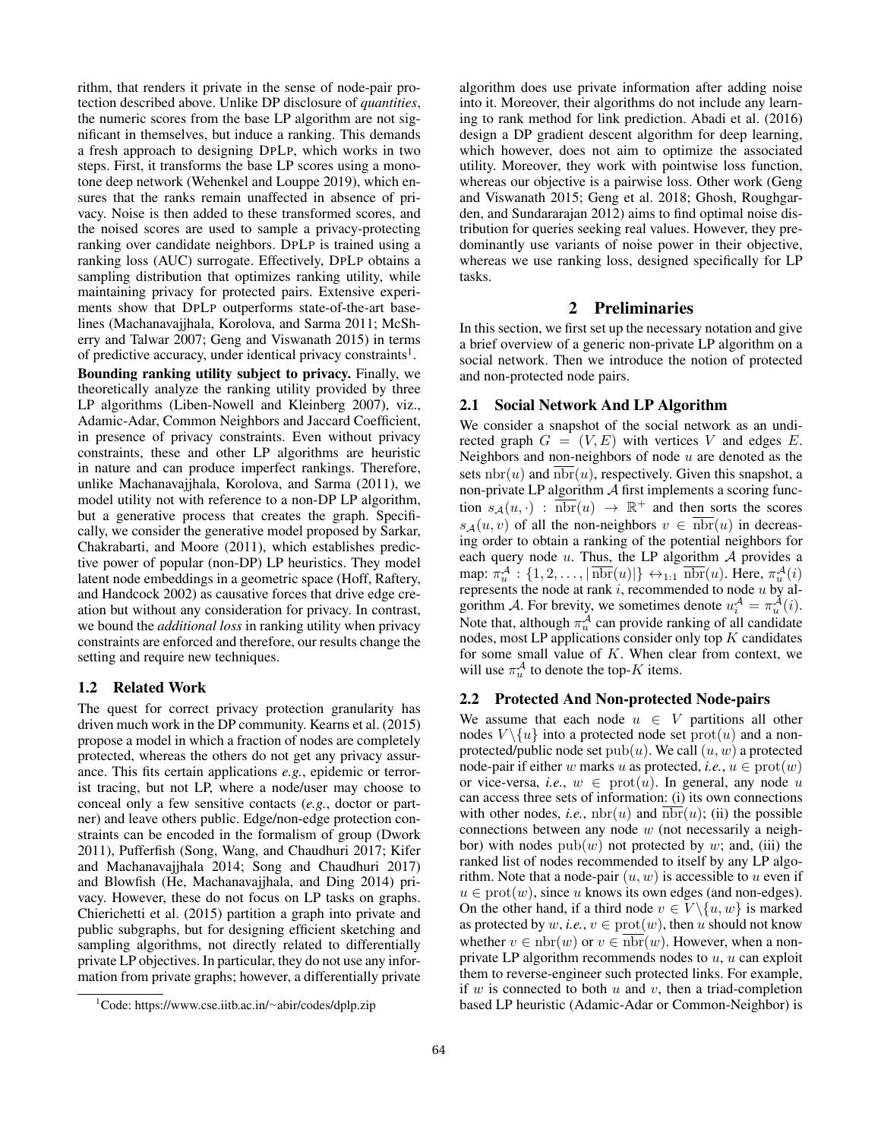rithm, that renders it private in the sense of node-pair protection described above. Unlike DP disclosure of *quantities*, the numeric scores from the base LP algorithm are not significant in themselves, but induce a ranking. This demands a fresh approach to designing DPLP, which works in two steps. First, it transforms the base LP scores using a monotone deep network (Wehenkel and Louppe 2019), which ensures that the ranks remain unaffected in absence of privacy. Noise is then added to these transformed scores, and the noised scores are used to sample a privacy-protecting ranking over candidate neighbors. DPLP is trained using a ranking loss (AUC) surrogate. Effectively, DPLP obtains a sampling distribution that optimizes ranking utility, while maintaining privacy for protected pairs. Extensive experiments show that DPLP outperforms state-of-the-art baselines (Machanavajjhala, Korolova, and Sarma 2011; McSherry and Talwar 2007; Geng and Viswanath 2015) in terms of predictive accuracy, under identical privacy constraints<sup>1</sup>.

Bounding ranking utility subject to privacy. Finally, we theoretically analyze the ranking utility provided by three LP algorithms (Liben-Nowell and Kleinberg 2007), viz., Adamic-Adar, Common Neighbors and Jaccard Coefficient, in presence of privacy constraints. Even without privacy constraints, these and other LP algorithms are heuristic in nature and can produce imperfect rankings. Therefore, unlike Machanavajjhala, Korolova, and Sarma (2011), we model utility not with reference to a non-DP LP algorithm, but a generative process that creates the graph. Specifically, we consider the generative model proposed by Sarkar, Chakrabarti, and Moore (2011), which establishes predictive power of popular (non-DP) LP heuristics. They model latent node embeddings in a geometric space (Hoff, Raftery, and Handcock 2002) as causative forces that drive edge creation but without any consideration for privacy. In contrast, we bound the *additional loss* in ranking utility when privacy constraints are enforced and therefore, our results change the setting and require new techniques.

# 1.2 Related Work

The quest for correct privacy protection granularity has driven much work in the DP community. Kearns et al. (2015) propose a model in which a fraction of nodes are completely protected, whereas the others do not get any privacy assurance. This fits certain applications *e.g.*, epidemic or terrorist tracing, but not LP, where a node/user may choose to conceal only a few sensitive contacts (*e.g.*, doctor or partner) and leave others public. Edge/non-edge protection constraints can be encoded in the formalism of group (Dwork 2011), Pufferfish (Song, Wang, and Chaudhuri 2017; Kifer and Machanavajjhala 2014; Song and Chaudhuri 2017) and Blowfish (He, Machanavajjhala, and Ding 2014) privacy. However, these do not focus on LP tasks on graphs. Chierichetti et al. (2015) partition a graph into private and public subgraphs, but for designing efficient sketching and sampling algorithms, not directly related to differentially private LP objectives. In particular, they do not use any information from private graphs; however, a differentially private

algorithm does use private information after adding noise into it. Moreover, their algorithms do not include any learning to rank method for link prediction. Abadi et al. (2016) design a DP gradient descent algorithm for deep learning, which however, does not aim to optimize the associated utility. Moreover, they work with pointwise loss function, whereas our objective is a pairwise loss. Other work (Geng and Viswanath 2015; Geng et al. 2018; Ghosh, Roughgarden, and Sundararajan 2012) aims to find optimal noise distribution for queries seeking real values. However, they predominantly use variants of noise power in their objective, whereas we use ranking loss, designed specifically for LP tasks.

# 2 Preliminaries

In this section, we first set up the necessary notation and give a brief overview of a generic non-private LP algorithm on a social network. Then we introduce the notion of protected and non-protected node pairs.

#### 2.1 Social Network And LP Algorithm

We consider a snapshot of the social network as an undirected graph  $G = (V, E)$  with vertices V and edges E. Neighbors and non-neighbors of node  $u$  are denoted as the sets  $nbr(u)$  and  $nbr(u)$ , respectively. Given this snapshot, a non-private LP algorithm  $A$  first implements a scoring function  $s_A(u, \cdot)$ :  $\overline{nbr}(u) \rightarrow \mathbb{R}^+$  and then sorts the scores  $s_A(u, v)$  of all the non-neighbors  $v \in \overline{\text{nbr}}(u)$  in decreasing order to obtain a ranking of the potential neighbors for each query node  $u$ . Thus, the LP algorithm  $A$  provides a map:  $\pi_u^{\mathcal{A}}: \{1, 2, \ldots, |\text{nbr}(u)|\} \leftrightarrow_{1:1} \text{nbr}(u)$ . Here,  $\pi_u^{\mathcal{A}}(i)$ represents the node at rank  $i$ , recommended to node  $u$  by algorithm A. For brevity, we sometimes denote  $u_i^A = \pi_u^A(i)$ . Note that, although  $\pi_u^{\mathcal{A}}$  can provide ranking of all candidate nodes, most LP applications consider only top  $K$  candidates for some small value of  $K$ . When clear from context, we will use  $\pi_u^{\mathcal{A}}$  to denote the top-K items.

#### 2.2 Protected And Non-protected Node-pairs

We assume that each node  $u \in V$  partitions all other nodes  $V \setminus \{u\}$  into a protected node set  $prot(u)$  and a nonprotected/public node set  $\text{pub}(u)$ . We call  $(u, w)$  a protected node-pair if either w marks u as protected, *i.e.*,  $u \in \text{prot}(w)$ or vice-versa, *i.e.*,  $w \in \text{prot}(u)$ . In general, any node u can access three sets of information: (i) its own connections with other nodes, *i.e.*,  $nbr(u)$  and  $nbr(u)$ ; (ii) the possible connections between any node w (not necessarily a neighbor) with nodes  $\text{pub}(w)$  not protected by w; and, (iii) the ranked list of nodes recommended to itself by any LP algorithm. Note that a node-pair  $(u, w)$  is accessible to u even if  $u \in \text{prot}(w)$ , since u knows its own edges (and non-edges). On the other hand, if a third node  $v \in V \setminus \{u, w\}$  is marked as protected by  $w$ , *i.e.*,  $v \in \text{prot}(w)$ , then u should not know whether  $v \in \text{nbr}(w)$  or  $v \in \overline{\text{nbr}}(w)$ . However, when a nonprivate LP algorithm recommends nodes to  $u$ ,  $u$  can exploit them to reverse-engineer such protected links. For example, if  $w$  is connected to both  $u$  and  $v$ , then a triad-completion based LP heuristic (Adamic-Adar or Common-Neighbor) is

<sup>1</sup>Code: https://www.cse.iitb.ac.in/∼abir/codes/dplp.zip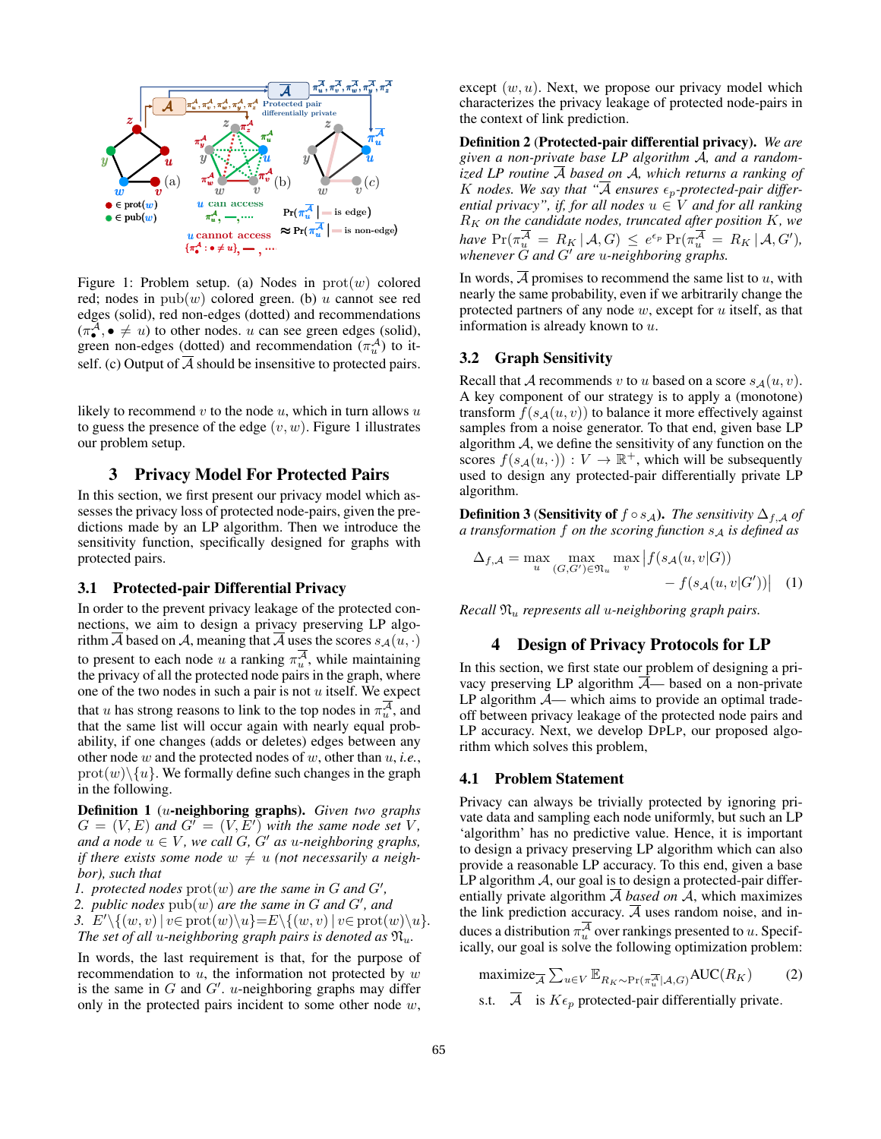

Figure 1: Problem setup. (a) Nodes in  $prot(w)$  colored red; nodes in  $\text{pub}(w)$  colored green. (b) u cannot see red edges (solid), red non-edges (dotted) and recommendations  $(\pi^A_\bullet, \bullet \neq u)$  to other nodes. u can see green edges (solid), green non-edges (dotted) and recommendation  $(\pi_u^A)$  to itself. (c) Output of  $A$  should be insensitive to protected pairs.

likely to recommend  $v$  to the node  $u$ , which in turn allows  $u$ to guess the presence of the edge  $(v, w)$ . Figure 1 illustrates our problem setup.

# 3 Privacy Model For Protected Pairs

In this section, we first present our privacy model which assesses the privacy loss of protected node-pairs, given the predictions made by an LP algorithm. Then we introduce the sensitivity function, specifically designed for graphs with protected pairs.

#### 3.1 Protected-pair Differential Privacy

In order to the prevent privacy leakage of the protected connections, we aim to design a privacy preserving LP algorithm  $\overline{A}$  based on A, meaning that  $\overline{A}$  uses the scores  $s_A(u, \cdot)$ to present to each node u a ranking  $\pi_u^{\mathcal{A}}$ , while maintaining the privacy of all the protected node pairs in the graph, where one of the two nodes in such a pair is not  $u$  itself. We expect that u has strong reasons to link to the top nodes in  $\pi_u^{\mathcal{A}}$ , and that the same list will occur again with nearly equal probability, if one changes (adds or deletes) edges between any other node w and the protected nodes of w, other than u, *i.e.*,  $\text{prot}(w)\backslash\{u\}$ . We formally define such changes in the graph in the following.

Definition 1 (u-neighboring graphs). *Given two graphs*  $G = (V, E)$  and  $G' = (V, E')$  with the same node set V, *and a node*  $u \in V$ *, we call G, G' as u-neighboring graphs, if there exists some node*  $w \neq u$  *(not necessarily a neighbor), such that*

*1. protected nodes*  $prot(w)$  *are the same in*  $G$  *and*  $G'$ ,

2. *public nodes*  $\text{pub}(w)$  are the same in G and G', and 3.  $E'\setminus\{(w, v) \mid v \in \text{prot}(w)\setminus u\} = E\setminus\{(w, v) \mid v \in \text{prot}(w)\setminus u\}.$ *The set of all u-neighboring graph pairs is denoted as*  $\mathfrak{N}_u$ *.* 

In words, the last requirement is that, for the purpose of recommendation to  $u$ , the information not protected by  $w$ is the same in G and  $G'$ . u-neighboring graphs may differ only in the protected pairs incident to some other node  $w$ ,

except  $(w, u)$ . Next, we propose our privacy model which characterizes the privacy leakage of protected node-pairs in the context of link prediction.

Definition 2 (Protected-pair differential privacy). *We are given a non-private base LP algorithm* A*, and a randomized LP routine* A *based on* A*, which returns a ranking of* K nodes. We say that " $\overline{A}$  ensures  $\epsilon_p$ -protected-pair differ*ential privacy", if, for all nodes*  $u \in V$  *and for all ranking* R<sup>K</sup> *on the candidate nodes, truncated after position* K*, we have*  $Pr(\pi_u^{\mathcal{A}} = R_K | \mathcal{A}, G) \leq e^{\epsilon_p} Pr(\pi_u^{\mathcal{A}} = R_K | \mathcal{A}, G')$ , *whenever G* and *G'* are *u*-neighboring graphs.

In words,  $\overline{A}$  promises to recommend the same list to u, with nearly the same probability, even if we arbitrarily change the protected partners of any node  $w$ , except for  $u$  itself, as that information is already known to u.

#### 3.2 Graph Sensitivity

Recall that A recommends v to u based on a score  $s_A(u, v)$ . A key component of our strategy is to apply a (monotone) transform  $f(s_A(u, v))$  to balance it more effectively against samples from a noise generator. To that end, given base LP algorithm  $A$ , we define the sensitivity of any function on the scores  $f(s_A(u, \cdot)) : V \to \mathbb{R}^+$ , which will be subsequently used to design any protected-pair differentially private LP algorithm.

**Definition 3 (Sensitivity of**  $f \circ s_A$ ). *The sensitivity*  $\Delta_{f,A}$  *of a transformation* f *on the scoring function*  $s_A$  *is defined as* 

$$
\Delta_{f,A} = \max_{u} \max_{(G,G') \in \mathfrak{N}_u} \max_{v} \left| f(s_{\mathcal{A}}(u,v|G)) - f(s_{\mathcal{A}}(u,v|G')) \right| \quad (1)
$$

*Recall* N<sup>u</sup> *represents all* u*-neighboring graph pairs.*

### 4 Design of Privacy Protocols for LP

In this section, we first state our problem of designing a privacy preserving LP algorithm  $\overline{A}$ — based on a non-private LP algorithm  $A$ — which aims to provide an optimal tradeoff between privacy leakage of the protected node pairs and LP accuracy. Next, we develop DPLP, our proposed algorithm which solves this problem,

#### 4.1 Problem Statement

Privacy can always be trivially protected by ignoring private data and sampling each node uniformly, but such an LP 'algorithm' has no predictive value. Hence, it is important to design a privacy preserving LP algorithm which can also provide a reasonable LP accuracy. To this end, given a base LP algorithm  $\mathcal A$ , our goal is to design a protected-pair differentially private algorithm  $\overline{A}$  *based on*  $A$ , which maximizes the link prediction accuracy.  $\overline{A}$  uses random noise, and induces a distribution  $\pi_u^{\mathcal{A}}$  over rankings presented to u. Specifically, our goal is solve the following optimization problem:

$$
\begin{array}{ll}\n\text{maximize}_{\overline{A}} \sum_{u \in V} \mathbb{E}_{R_K \sim \Pr(\pi_u^{\overline{A}} | \mathcal{A}, G)} \text{AUC}(R_K) \\
\text{s.t.} \quad \overline{A} \quad \text{is } K \epsilon_p \text{ protected-pair differentially private.}\n\end{array} \tag{2}
$$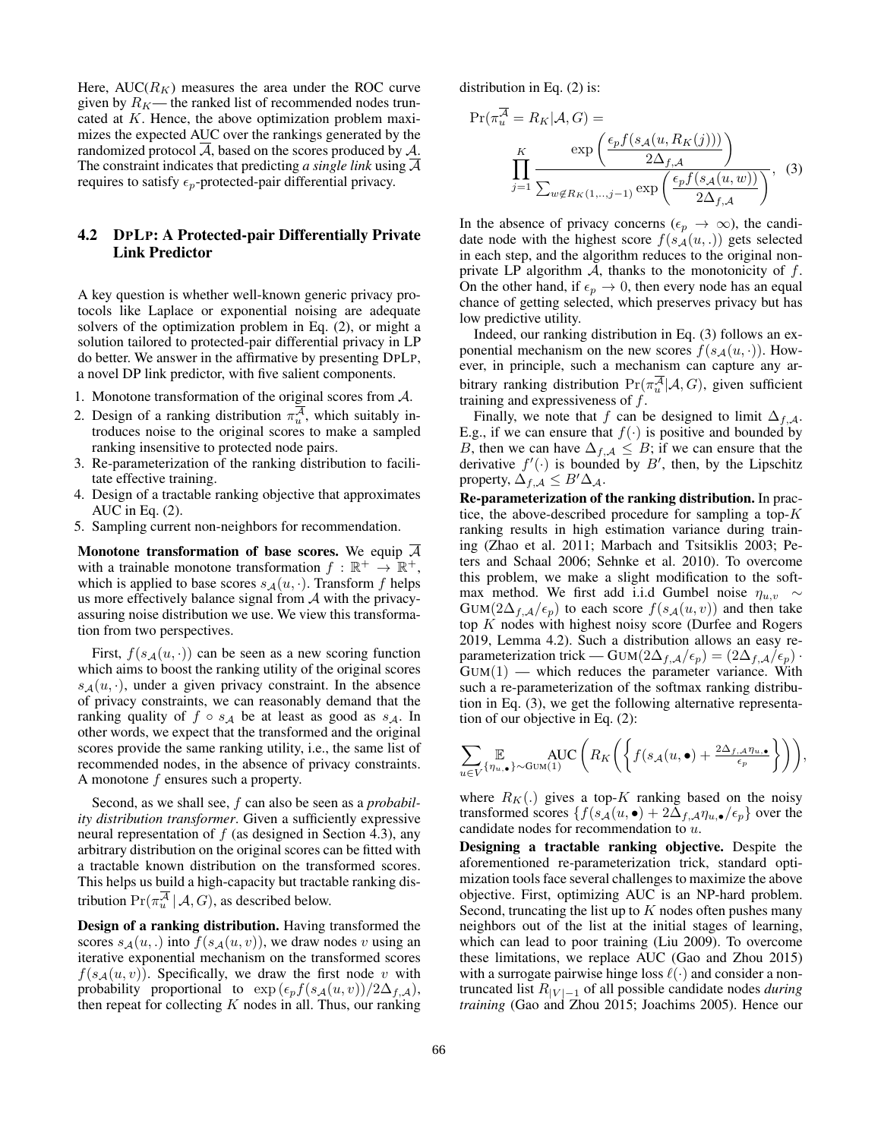Here,  $AUC(R_K)$  measures the area under the ROC curve given by  $R_K$ — the ranked list of recommended nodes truncated at K. Hence, the above optimization problem maximizes the expected AUC over the rankings generated by the randomized protocol  $\overline{A}$ , based on the scores produced by  $\overline{A}$ . The constraint indicates that predicting *a single link* using A requires to satisfy  $\epsilon_p$ -protected-pair differential privacy.

# 4.2 DPLP: A Protected-pair Differentially Private Link Predictor

A key question is whether well-known generic privacy protocols like Laplace or exponential noising are adequate solvers of the optimization problem in Eq. (2), or might a solution tailored to protected-pair differential privacy in LP do better. We answer in the affirmative by presenting DPLP, a novel DP link predictor, with five salient components.

- 1. Monotone transformation of the original scores from A.
- 2. Design of a ranking distribution  $\pi_u^{\mathcal{A}}$ , which suitably introduces noise to the original scores to make a sampled ranking insensitive to protected node pairs.
- 3. Re-parameterization of the ranking distribution to facilitate effective training.
- 4. Design of a tractable ranking objective that approximates AUC in Eq. (2).
- 5. Sampling current non-neighbors for recommendation.

Monotone transformation of base scores. We equip  $\overline{\mathcal{A}}$ with a trainable monotone transformation  $f : \mathbb{R}^+ \to \mathbb{R}^+,$ which is applied to base scores  $s_A(u, \cdot)$ . Transform f helps us more effectively balance signal from  $A$  with the privacyassuring noise distribution we use. We view this transformation from two perspectives.

First,  $f(s_A(u, \cdot))$  can be seen as a new scoring function which aims to boost the ranking utility of the original scores  $s_A(u, \cdot)$ , under a given privacy constraint. In the absence of privacy constraints, we can reasonably demand that the ranking quality of  $f \circ s_A$  be at least as good as  $s_A$ . In other words, we expect that the transformed and the original scores provide the same ranking utility, i.e., the same list of recommended nodes, in the absence of privacy constraints. A monotone f ensures such a property.

Second, as we shall see, f can also be seen as a *probability distribution transformer*. Given a sufficiently expressive neural representation of  $f$  (as designed in Section 4.3), any arbitrary distribution on the original scores can be fitted with a tractable known distribution on the transformed scores. This helps us build a high-capacity but tractable ranking distribution  $Pr(\pi_u^{\mathcal{A}} | \mathcal{A}, G)$ , as described below.

Design of a ranking distribution. Having transformed the scores  $s_A(u,.)$  into  $f(s_A(u, v))$ , we draw nodes v using an iterative exponential mechanism on the transformed scores  $f(s_A(u, v))$ . Specifically, we draw the first node v with probability proportional to  $\exp(\epsilon_p f(s_{\mathcal{A}}(u, v))/2\Delta_{f, \mathcal{A}})$ , then repeat for collecting  $K$  nodes in all. Thus, our ranking distribution in Eq. (2) is:

$$
\Pr(\pi_u^{\mathcal{A}} = R_K | \mathcal{A}, G) =
$$
\n
$$
\prod_{j=1}^K \frac{\exp\left(\frac{\epsilon_p f(s_{\mathcal{A}}(u, R_K(j)))}{2\Delta_{f, \mathcal{A}}}\right)}{\sum_{w \notin R_K(1,\dots,j-1)} \exp\left(\frac{\epsilon_p f(s_{\mathcal{A}}(u,w))}{2\Delta_{f, \mathcal{A}}}\right)},
$$
\n(3)

In the absence of privacy concerns ( $\epsilon_p \to \infty$ ), the candidate node with the highest score  $f(s_A(u, .))$  gets selected in each step, and the algorithm reduces to the original nonprivate LP algorithm  $A$ , thanks to the monotonicity of  $f$ . On the other hand, if  $\epsilon_p \rightarrow 0$ , then every node has an equal chance of getting selected, which preserves privacy but has low predictive utility.

Indeed, our ranking distribution in Eq. (3) follows an exponential mechanism on the new scores  $f(s_A(u, \cdot))$ . However, in principle, such a mechanism can capture any arbitrary ranking distribution  $Pr(\pi_u^{\mathcal{A}} | \mathcal{A}, G)$ , given sufficient training and expressiveness of  $f$ .

Finally, we note that f can be designed to limit  $\Delta_{f,\mathcal{A}}$ . E.g., if we can ensure that  $f(\cdot)$  is positive and bounded by B, then we can have  $\Delta_{f,\mathcal{A}} \leq B$ ; if we can ensure that the derivative  $f'(\cdot)$  is bounded by B', then, by the Lipschitz property,  $\Delta_{f,\mathcal{A}} \leq B' \Delta_{\mathcal{A}}$ .

Re-parameterization of the ranking distribution. In practice, the above-described procedure for sampling a top- $K$ ranking results in high estimation variance during training (Zhao et al. 2011; Marbach and Tsitsiklis 2003; Peters and Schaal 2006; Sehnke et al. 2010). To overcome this problem, we make a slight modification to the softmax method. We first add i.i.d Gumbel noise  $\eta_{u,v} \sim$  $GUM(2\Delta_{f,\mathcal{A}}/\epsilon_p)$  to each score  $f(s_{\mathcal{A}}(u, v))$  and then take top  $K$  nodes with highest noisy score (Durfee and Rogers 2019, Lemma 4.2). Such a distribution allows an easy reparameterization trick — GUM( $2\Delta_{f,\mathcal{A}}/\epsilon_p$ ) =  $(2\Delta_{f,\mathcal{A}}/\epsilon_p)$ .  $GUM(1)$  — which reduces the parameter variance. With such a re-parameterization of the softmax ranking distribution in Eq. (3), we get the following alternative representation of our objective in Eq. (2):

$$
\sum_{u \in V} \mathop{\mathbb{E}}_{\{\eta_{u,\bullet}\}\sim \text{GUM}(1)} \text{AUC}\left(R_K\left(\left\{f(s_{\mathcal{A}}(u,\bullet) + \frac{2\Delta_{f,\mathcal{A}}\eta_{u,\bullet}}{\epsilon_p}\right\}\right)\right),
$$

where  $R_K(.)$  gives a top-K ranking based on the noisy transformed scores  $\{f(s_{\mathcal{A}}(u, \bullet) + 2\Delta_{f, \mathcal{A}}\eta_{u, \bullet}/\epsilon_{p}\}$  over the candidate nodes for recommendation to u.

Designing a tractable ranking objective. Despite the aforementioned re-parameterization trick, standard optimization tools face several challenges to maximize the above objective. First, optimizing AUC is an NP-hard problem. Second, truncating the list up to  $K$  nodes often pushes many neighbors out of the list at the initial stages of learning, which can lead to poor training (Liu 2009). To overcome these limitations, we replace AUC (Gao and Zhou 2015) with a surrogate pairwise hinge loss  $\ell(\cdot)$  and consider a nontruncated list  $R_{|V|-1}$  of all possible candidate nodes *during training* (Gao and Zhou 2015; Joachims 2005). Hence our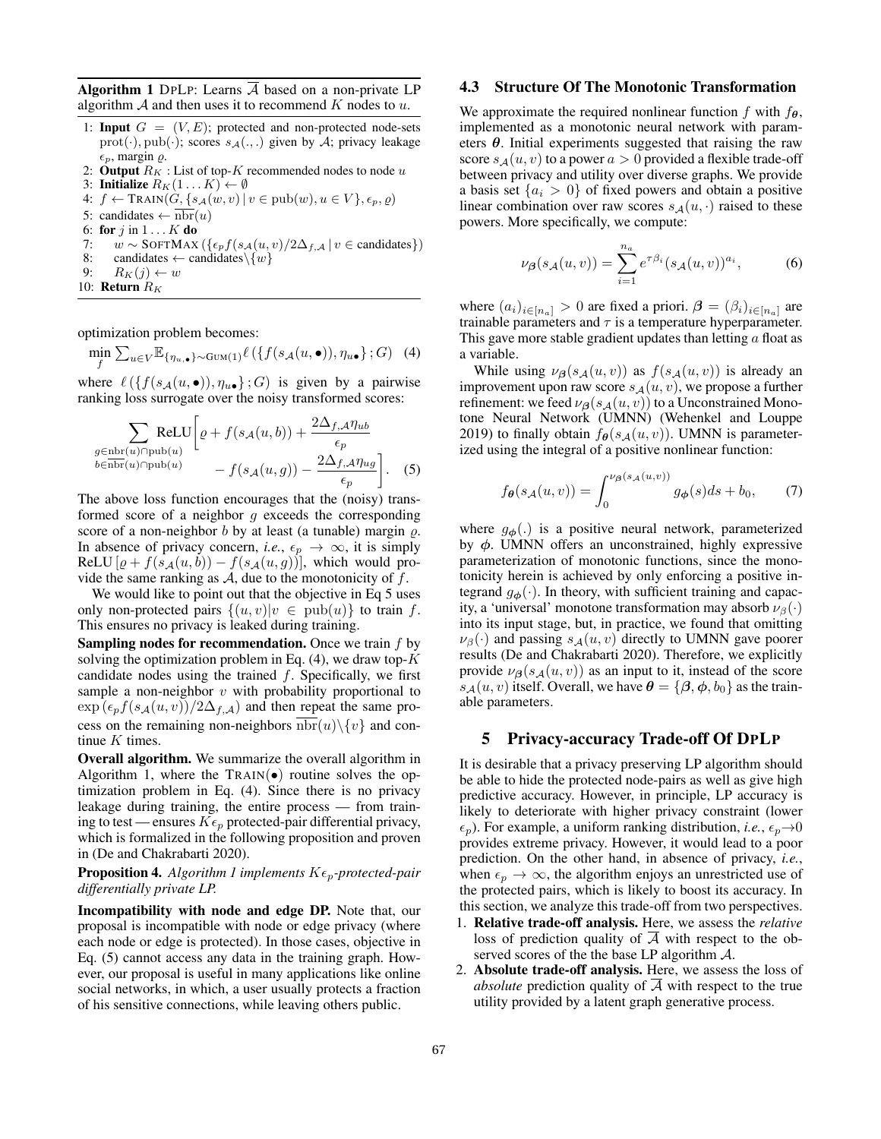**Algorithm 1** DPLP: Learns  $\overline{A}$  based on a non-private LP algorithm  $A$  and then uses it to recommend K nodes to u.

- 1: **Input**  $G = (V, E)$ ; protected and non-protected node-sets  $prot(\cdot), pub(\cdot); scores s_{\mathcal{A}}(.,.)$  given by A; privacy leakage  $\epsilon_p$ , margin  $\varrho$ .
- 2: Output  $R_K$  : List of top-K recommended nodes to node u
- 3: Initialize  $R_K(1...K) \leftarrow \emptyset$
- 4:  $f \leftarrow \text{TRAIN}(G, \{s_{\mathcal{A}}(w, v) \mid v \in \text{pub}(w), u \in V\}, \epsilon_p, \varrho)$
- 5: candidates  $\leftarrow$  nbr(u)
- 6: for  $j$  in  $1 \ldots K$  do

7:  $w \sim \text{SOFTMAX}\left(\frac{\epsilon_p f(s_{\mathcal{A}}(u, v)/2\Delta_{f, \mathcal{A}} \mid v \in \text{candidates}}{\epsilon_p f(s_{\mathcal{A}}(u, v)/2\Delta_{f, \mathcal{A}} \mid v \in \text{candidates}}\right)$ 8: candidates  $\leftarrow$  candidates  $\setminus \{w\}$ 

- 9:  $R_K(j) \leftarrow w$
- 10: **Return**  $R_K$

optimization problem becomes:

$$
\min_{f} \sum_{u \in V} \mathbb{E}_{\{\eta_u, \bullet\} \sim \text{Gum}(1)} \ell\left(\{f(s_{\mathcal{A}}(u, \bullet)), \eta_{u\bullet}\}; G\right) \tag{4}
$$

where  $\ell(\lbrace f(s_{\mathcal{A}}(u, \bullet)), \eta_{u\bullet} \rbrace ; G)$  is given by a pairwise ranking loss surrogate over the noisy transformed scores:

$$
\sum_{\substack{g \in \text{nbr}(u) \cap \text{pub}(u) \\ b \in \text{nbr}(u) \cap \text{pub}(u)}} \text{ReLU} \bigg[ \varrho + f(s_{\mathcal{A}}(u, b)) + \frac{2\Delta_{f, \mathcal{A}} \eta_{ub}}{\epsilon_p} - f(s_{\mathcal{A}}(u, g)) - \frac{2\Delta_{f, \mathcal{A}} \eta_{ug}}{\epsilon_p} \bigg]. \tag{5}
$$

The above loss function encourages that the (noisy) transformed score of a neighbor  $g$  exceeds the corresponding score of a non-neighbor  $b$  by at least (a tunable) margin  $\rho$ . In absence of privacy concern, *i.e.*,  $\epsilon_p \to \infty$ , it is simply ReLU  $[\varrho + f(s_{\mathcal{A}}(u, b)) - f(s_{\mathcal{A}}(u, g))]$ , which would provide the same ranking as  $A$ , due to the monotonicity of  $f$ .

We would like to point out that the objective in Eq 5 uses only non-protected pairs  $\{(u, v)|v \in \text{pub}(u)\}\)$  to train f. This ensures no privacy is leaked during training.

**Sampling nodes for recommendation.** Once we train  $f$  by solving the optimization problem in Eq.  $(4)$ , we draw top-K candidate nodes using the trained  $f$ . Specifically, we first sample a non-neighbor  $v$  with probability proportional to  $\exp\left(\epsilon_p f(s_{\mathcal{A}}(u, v))/2\Delta_{f, \mathcal{A}}\right)$  and then repeat the same process on the remaining non-neighbors  $nbr(u)\$ {v} and continue  $K$  times.

Overall algorithm. We summarize the overall algorithm in Algorithm 1, where the  $TRAIN(•)$  routine solves the optimization problem in Eq. (4). Since there is no privacy leakage during training, the entire process — from training to test — ensures  $K\epsilon_p$  protected-pair differential privacy, which is formalized in the following proposition and proven in (De and Chakrabarti 2020).

#### **Proposition 4.** *Algorithm 1 implements*  $K \epsilon_p$ -protected-pair *differentially private LP.*

Incompatibility with node and edge DP. Note that, our proposal is incompatible with node or edge privacy (where each node or edge is protected). In those cases, objective in Eq. (5) cannot access any data in the training graph. However, our proposal is useful in many applications like online social networks, in which, a user usually protects a fraction of his sensitive connections, while leaving others public.

#### 4.3 Structure Of The Monotonic Transformation

We approximate the required nonlinear function f with  $f_{\theta}$ , implemented as a monotonic neural network with parameters  $\theta$ . Initial experiments suggested that raising the raw score  $s_A(u, v)$  to a power  $a > 0$  provided a flexible trade-off between privacy and utility over diverse graphs. We provide a basis set  $\{a_i > 0\}$  of fixed powers and obtain a positive linear combination over raw scores  $s_A(u, \cdot)$  raised to these powers. More specifically, we compute:

$$
\nu_{\beta}(s_{\mathcal{A}}(u,v)) = \sum_{i=1}^{n_a} e^{\tau \beta_i} (s_{\mathcal{A}}(u,v))^{a_i}, \tag{6}
$$

where  $(a_i)_{i \in [n_a]} > 0$  are fixed a priori.  $\boldsymbol{\beta} = (\beta_i)_{i \in [n_a]}$  are trainable parameters and  $\tau$  is a temperature hyperparameter. This gave more stable gradient updates than letting  $a$  float as a variable.

While using  $\nu_{\beta}(s_{\mathcal{A}}(u, v))$  as  $f(s_{\mathcal{A}}(u, v))$  is already an improvement upon raw score  $s_A(u, v)$ , we propose a further refinement: we feed  $\nu_{\beta}(s_{\mathcal{A}}(u, v))$  to a Unconstrained Monotone Neural Network (UMNN) (Wehenkel and Louppe 2019) to finally obtain  $f_{\theta}(s_{\mathcal{A}}(u, v))$ . UMNN is parameterized using the integral of a positive nonlinear function:

$$
f_{\theta}(s_{\mathcal{A}}(u,v)) = \int_0^{\nu_{\beta}(s_{\mathcal{A}}(u,v))} g_{\phi}(s)ds + b_0, \qquad (7)
$$

where  $g_{\phi}$ (.) is a positive neural network, parameterized by  $\phi$ . UMNN offers an unconstrained, highly expressive parameterization of monotonic functions, since the monotonicity herein is achieved by only enforcing a positive integrand  $g_{\phi}(\cdot)$ . In theory, with sufficient training and capacity, a 'universal' monotone transformation may absorb  $\nu_\beta(\cdot)$ into its input stage, but, in practice, we found that omitting  $\nu_\beta(\cdot)$  and passing  $s_A(u, v)$  directly to UMNN gave poorer results (De and Chakrabarti 2020). Therefore, we explicitly provide  $\nu_{\beta}(s_A(u, v))$  as an input to it, instead of the score  $s_{\mathcal{A}}(u, v)$  itself. Overall, we have  $\theta = {\beta, \phi, b_0}$  as the trainable parameters.

# 5 Privacy-accuracy Trade-off Of DPLP

It is desirable that a privacy preserving LP algorithm should be able to hide the protected node-pairs as well as give high predictive accuracy. However, in principle, LP accuracy is likely to deteriorate with higher privacy constraint (lower  $\epsilon_p$ ). For example, a uniform ranking distribution, *i.e.*,  $\epsilon_p \rightarrow 0$ provides extreme privacy. However, it would lead to a poor prediction. On the other hand, in absence of privacy, *i.e.*, when  $\epsilon_p \to \infty$ , the algorithm enjoys an unrestricted use of the protected pairs, which is likely to boost its accuracy. In this section, we analyze this trade-off from two perspectives.

- 1. Relative trade-off analysis. Here, we assess the *relative* loss of prediction quality of  $A$  with respect to the observed scores of the the base LP algorithm  $\mathcal{A}$ .
- 2. Absolute trade-off analysis. Here, we assess the loss of *absolute* prediction quality of A with respect to the true utility provided by a latent graph generative process.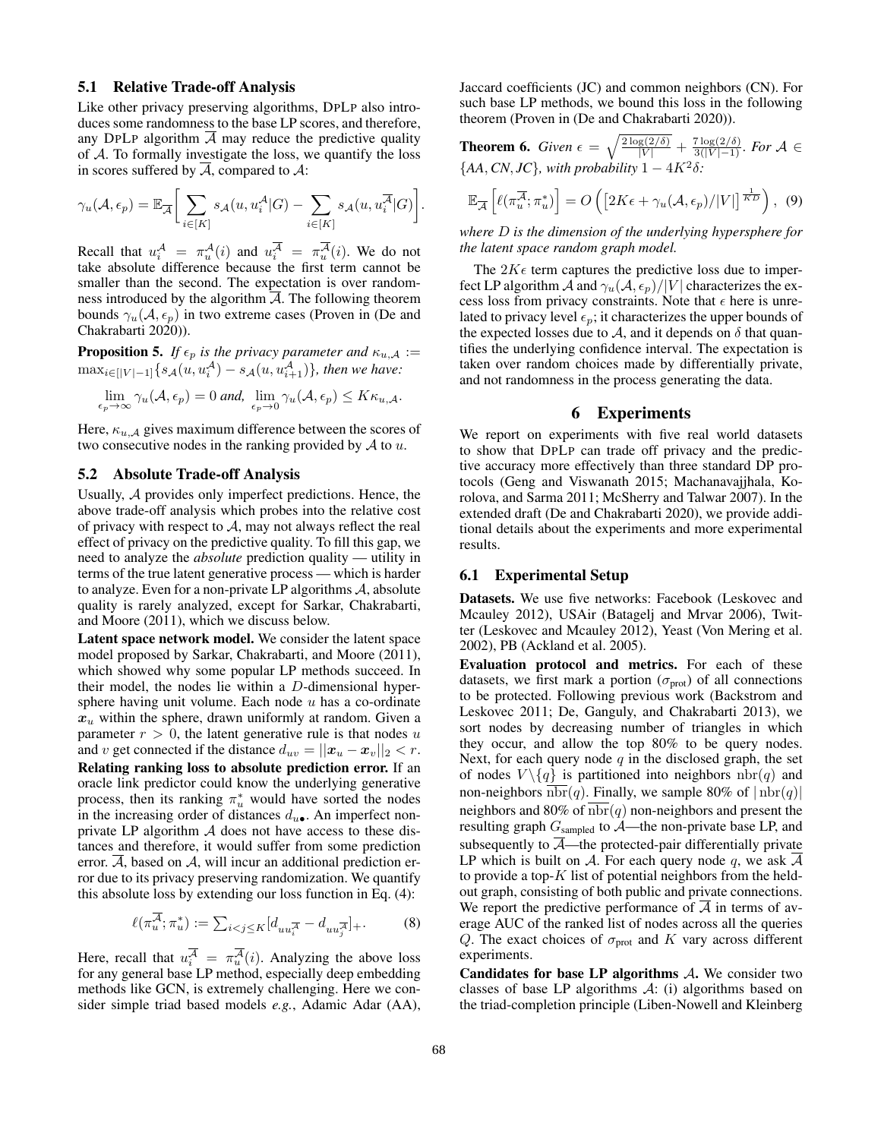#### 5.1 Relative Trade-off Analysis

Like other privacy preserving algorithms, DPLP also introduces some randomness to the base LP scores, and therefore, any DPLP algorithm  $A$  may reduce the predictive quality of A. To formally investigate the loss, we quantify the loss in scores suffered by  $A$ , compared to  $A$ :

$$
\gamma_u(\mathcal{A}, \epsilon_p) = \mathbb{E}_{\overline{\mathcal{A}}}\bigg[\sum_{i \in [K]} s_{\mathcal{A}}(u, u_i^{\mathcal{A}} | G) - \sum_{i \in [K]} s_{\mathcal{A}}(u, u_i^{\overline{\mathcal{A}}}|G)\bigg].
$$

Recall that  $u_i^{\mathcal{A}} = \pi_u^{\mathcal{A}}(i)$  and  $u_i^{\mathcal{A}} = \pi_u^{\mathcal{A}}(i)$ . We do not take absolute difference because the first term cannot be smaller than the second. The expectation is over randomness introduced by the algorithm  $A$ . The following theorem bounds  $\gamma_u(A, \epsilon_p)$  in two extreme cases (Proven in (De and Chakrabarti 2020)).

**Proposition 5.** *If*  $\epsilon_p$  *is the privacy parameter and*  $\kappa_{u,A}$  :=  $\max_{i \in [|V|-1]} \{ s_{\mathcal{A}}(u, u_i^{\mathcal{A}}) - s_{\mathcal{A}}(u, u_{i+1}^{\mathcal{A}}) \}$ *, then we have:* 

$$
\lim_{\epsilon_p \to \infty} \gamma_u(\mathcal{A}, \epsilon_p) = 0 \text{ and, } \lim_{\epsilon_p \to 0} \gamma_u(\mathcal{A}, \epsilon_p) \leq K \kappa_{u, \mathcal{A}}.
$$

Here,  $\kappa_{u,A}$  gives maximum difference between the scores of two consecutive nodes in the ranking provided by  $A$  to  $u$ .

### 5.2 Absolute Trade-off Analysis

Usually, A provides only imperfect predictions. Hence, the above trade-off analysis which probes into the relative cost of privacy with respect to  $A$ , may not always reflect the real effect of privacy on the predictive quality. To fill this gap, we need to analyze the *absolute* prediction quality — utility in terms of the true latent generative process — which is harder to analyze. Even for a non-private LP algorithms  $A$ , absolute quality is rarely analyzed, except for Sarkar, Chakrabarti, and Moore (2011), which we discuss below.

Latent space network model. We consider the latent space model proposed by Sarkar, Chakrabarti, and Moore (2011), which showed why some popular LP methods succeed. In their model, the nodes lie within a D-dimensional hypersphere having unit volume. Each node  $u$  has a co-ordinate  $x<sub>u</sub>$  within the sphere, drawn uniformly at random. Given a parameter  $r > 0$ , the latent generative rule is that nodes u and v get connected if the distance  $d_{uv} = ||x_u - x_v||_2 < r$ . Relating ranking loss to absolute prediction error. If an oracle link predictor could know the underlying generative process, then its ranking  $\pi_u^*$  would have sorted the nodes in the increasing order of distances  $d_{u\bullet}$ . An imperfect nonprivate LP algorithm  $A$  does not have access to these distances and therefore, it would suffer from some prediction error.  $\overline{A}$ , based on  $A$ , will incur an additional prediction error due to its privacy preserving randomization. We quantify this absolute loss by extending our loss function in Eq. (4):

$$
\ell(\pi_u^{\mathcal{A}}; \pi_u^*) := \sum_{i < j \le K} [d_{uu_i^{\overline{\mathcal{A}}}} - d_{uu_j^{\overline{\mathcal{A}}}}]_+ . \tag{8}
$$

Here, recall that  $u_i^A = \pi_u^A(i)$ . Analyzing the above loss for any general base LP method, especially deep embedding methods like GCN, is extremely challenging. Here we consider simple triad based models *e.g.*, Adamic Adar (AA), Jaccard coefficients (JC) and common neighbors (CN). For such base LP methods, we bound this loss in the following theorem (Proven in (De and Chakrabarti 2020)).

**Theorem 6.** Given 
$$
\epsilon = \sqrt{\frac{2 \log(2/\delta)}{|V|} + \frac{7 \log(2/\delta)}{3(|V|-1)}}
$$
. For  $\mathcal{A} \in \{AA, CN, JC\}$ , with probability  $1 - 4K^2\delta$ :

$$
\mathbb{E}_{\overline{\mathcal{A}}}\left[\ell(\pi_u^{\overline{\mathcal{A}}}; \pi_u^*)\right] = O\left(\left[2K\epsilon + \gamma_u(\mathcal{A}, \epsilon_p)/|V|\right]^{\frac{1}{KD}}\right), \tag{9}
$$

*where* D *is the dimension of the underlying hypersphere for the latent space random graph model.*

The  $2K\epsilon$  term captures the predictive loss due to imperfect LP algorithm A and  $\gamma_u(A, \epsilon_p)/|V|$  characterizes the excess loss from privacy constraints. Note that  $\epsilon$  here is unrelated to privacy level  $\epsilon_n$ ; it characterizes the upper bounds of the expected losses due to A, and it depends on  $\delta$  that quantifies the underlying confidence interval. The expectation is taken over random choices made by differentially private, and not randomness in the process generating the data.

### 6 Experiments

We report on experiments with five real world datasets to show that DPLP can trade off privacy and the predictive accuracy more effectively than three standard DP protocols (Geng and Viswanath 2015; Machanavajjhala, Korolova, and Sarma 2011; McSherry and Talwar 2007). In the extended draft (De and Chakrabarti 2020), we provide additional details about the experiments and more experimental results.

#### 6.1 Experimental Setup

Datasets. We use five networks: Facebook (Leskovec and Mcauley 2012), USAir (Batagelj and Mrvar 2006), Twitter (Leskovec and Mcauley 2012), Yeast (Von Mering et al. 2002), PB (Ackland et al. 2005).

Evaluation protocol and metrics. For each of these datasets, we first mark a portion ( $\sigma_{\text{prot}}$ ) of all connections to be protected. Following previous work (Backstrom and Leskovec 2011; De, Ganguly, and Chakrabarti 2013), we sort nodes by decreasing number of triangles in which they occur, and allow the top 80% to be query nodes. Next, for each query node  $q$  in the disclosed graph, the set of nodes  $V \setminus \{q\}$  is partitioned into neighbors  $nbr(q)$  and non-neighbors  $\text{nbr}(q)$ . Finally, we sample 80% of  $|\text{nbr}(q)|$ neighbors and 80% of  $\overline{nbr}(q)$  non-neighbors and present the resulting graph  $G_{sampled}$  to  $\mathcal{A}$ —the non-private base LP, and subsequently to  $\overline{A}$ —the protected-pair differentially private LP which is built on A. For each query node q, we ask  $\mathcal A$ to provide a top- $K$  list of potential neighbors from the heldout graph, consisting of both public and private connections. We report the predictive performance of  $\overline{A}$  in terms of average AUC of the ranked list of nodes across all the queries Q. The exact choices of  $\sigma_{\text{prot}}$  and K vary across different experiments.

Candidates for base LP algorithms A. We consider two classes of base LP algorithms  $A$ : (i) algorithms based on the triad-completion principle (Liben-Nowell and Kleinberg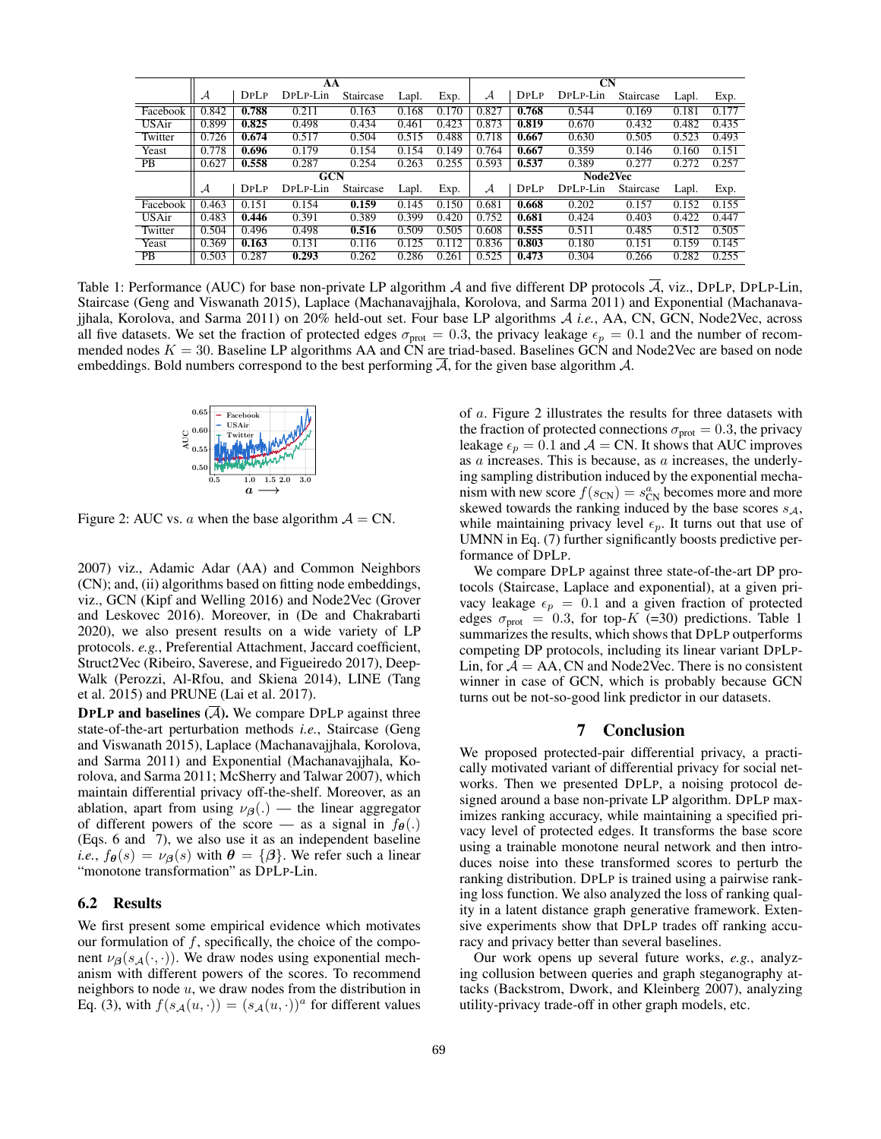|              | AA         |       |          |           |       |       | $\mathbf{C}$ N |       |          |           |       |       |
|--------------|------------|-------|----------|-----------|-------|-------|----------------|-------|----------|-----------|-------|-------|
|              | А          | DPLP  | DPLP-Lin | Staircase | Lapl. | Exp.  | $\mathcal{A}$  | DPLP  | DPLP-Lin | Staircase | Lapl. | Exp.  |
| Facebook     | 0.842      | 0.788 | 0.211    | 0.163     | 0.168 | 0.170 | 0.827          | 0.768 | 0.544    | 0.169     | 0.181 | 0.177 |
| <b>USAir</b> | 0.899      | 0.825 | 0.498    | 0.434     | 0.461 | 0.423 | 0.873          | 0.819 | 0.670    | 0.432     | 0.482 | 0.435 |
| Twitter      | 0.726      | 0.674 | 0.517    | 0.504     | 0.515 | 0.488 | 0.718          | 0.667 | 0.630    | 0.505     | 0.523 | 0.493 |
| Yeast        | 0.778      | 0.696 | 0.179    | 0.154     | 0.154 | 0.149 | 0.764          | 0.667 | 0.359    | 0.146     | 0.160 | 0.151 |
| <b>PB</b>    | 0.627      | 0.558 | 0.287    | 0.254     | 0.263 | 0.255 | 0.593          | 0.537 | 0.389    | 0.277     | 0.272 | 0.257 |
|              | <b>GCN</b> |       |          |           |       |       | Node2Vec       |       |          |           |       |       |
|              | А          | DPLP  | DPLP-Lin | Staircase | Lapl. | Exp.  | А              | DPLP  | DPLP-Lin | Staircase | Lapl. | Exp.  |
| Facebook     | 0.463      | 0.151 | 0.154    | 0.159     | 0.145 | 0.150 | 0.681          | 0.668 | 0.202    | 0.157     | 0.152 | 0.155 |
| <b>USAir</b> | 0.483      | 0.446 | 0.391    | 0.389     | 0.399 | 0.420 | 0.752          | 0.681 | 0.424    | 0.403     | 0.422 | 0.447 |
| Twitter      | 0.504      | 0.496 | 0.498    | 0.516     | 0.509 | 0.505 | 0.608          | 0.555 | 0.511    | 0.485     | 0.512 | 0.505 |
| Yeast        | 0.369      | 0.163 | 0.131    | 0.116     | 0.125 | 0.112 | 0.836          | 0.803 | 0.180    | 0.151     | 0.159 | 0.145 |
| PB           | 0.503      | 0.287 | 0.293    | 0.262     | 0.286 | 0.261 | 0.525          | 0.473 | 0.304    | 0.266     | 0.282 | 0.255 |

Table 1: Performance (AUC) for base non-private LP algorithm A and five different DP protocols  $\overline{A}$ , viz., DPLP, DPLP-Lin, Staircase (Geng and Viswanath 2015), Laplace (Machanavajjhala, Korolova, and Sarma 2011) and Exponential (Machanavajjhala, Korolova, and Sarma 2011) on 20% held-out set. Four base LP algorithms A *i.e.*, AA, CN, GCN, Node2Vec, across all five datasets. We set the fraction of protected edges  $\sigma_{\text{prot}} = 0.3$ , the privacy leakage  $\epsilon_p = 0.1$  and the number of recommended nodes  $K = 30$ . Baseline LP algorithms AA and CN are triad-based. Baselines GCN and Node2Vec are based on node embeddings. Bold numbers correspond to the best performing  $\overline{A}$ , for the given base algorithm  $A$ .



Figure 2: AUC vs. a when the base algorithm  $A = CN$ .

2007) viz., Adamic Adar (AA) and Common Neighbors (CN); and, (ii) algorithms based on fitting node embeddings, viz., GCN (Kipf and Welling 2016) and Node2Vec (Grover and Leskovec 2016). Moreover, in (De and Chakrabarti 2020), we also present results on a wide variety of LP protocols. *e.g.*, Preferential Attachment, Jaccard coefficient, Struct2Vec (Ribeiro, Saverese, and Figueiredo 2017), Deep-Walk (Perozzi, Al-Rfou, and Skiena 2014), LINE (Tang et al. 2015) and PRUNE (Lai et al. 2017).

**DPLP and baselines**  $(\overline{A})$ . We compare DPLP against three state-of-the-art perturbation methods *i.e.*, Staircase (Geng and Viswanath 2015), Laplace (Machanavajjhala, Korolova, and Sarma 2011) and Exponential (Machanavajjhala, Korolova, and Sarma 2011; McSherry and Talwar 2007), which maintain differential privacy off-the-shelf. Moreover, as an ablation, apart from using  $\nu_{\beta}$ (.) — the linear aggregator of different powers of the score — as a signal in  $f_{\theta}(.)$ (Eqs. 6 and 7), we also use it as an independent baseline *i.e.*,  $f_{\theta}(s) = v_{\theta}(s)$  with  $\theta = {\theta}.$  We refer such a linear "monotone transformation" as DPLP-Lin.

### 6.2 Results

We first present some empirical evidence which motivates our formulation of  $f$ , specifically, the choice of the component  $\nu_{\beta}(s_{\mathcal{A}}(\cdot, \cdot))$ . We draw nodes using exponential mechanism with different powers of the scores. To recommend neighbors to node  $u$ , we draw nodes from the distribution in Eq. (3), with  $f(s_A(u, \cdot)) = (s_A(u, \cdot))^a$  for different values

of a. Figure 2 illustrates the results for three datasets with the fraction of protected connections  $\sigma_{\text{prot}} = 0.3$ , the privacy leakage  $\epsilon_p = 0.1$  and  $\mathcal{A} = \mathbf{CN}$ . It shows that AUC improves as a increases. This is because, as a increases, the underlying sampling distribution induced by the exponential mechanism with new score  $f(s_{CN}) = s_{CN}^a$  becomes more and more skewed towards the ranking induced by the base scores  $s_A$ , while maintaining privacy level  $\epsilon_p$ . It turns out that use of UMNN in Eq. (7) further significantly boosts predictive performance of DPLP.

We compare DPLP against three state-of-the-art DP protocols (Staircase, Laplace and exponential), at a given privacy leakage  $\epsilon_p = 0.1$  and a given fraction of protected edges  $\sigma_{\text{prot}} = 0.3$ , for top-K (=30) predictions. Table 1 summarizes the results, which shows that DPLP outperforms competing DP protocols, including its linear variant DPLP-Lin, for  $A = AA$ , CN and Node2Vec. There is no consistent winner in case of GCN, which is probably because GCN turns out be not-so-good link predictor in our datasets.

#### 7 Conclusion

We proposed protected-pair differential privacy, a practically motivated variant of differential privacy for social networks. Then we presented DPLP, a noising protocol designed around a base non-private LP algorithm. DPLP maximizes ranking accuracy, while maintaining a specified privacy level of protected edges. It transforms the base score using a trainable monotone neural network and then introduces noise into these transformed scores to perturb the ranking distribution. DPLP is trained using a pairwise ranking loss function. We also analyzed the loss of ranking quality in a latent distance graph generative framework. Extensive experiments show that DPLP trades off ranking accuracy and privacy better than several baselines.

Our work opens up several future works, *e.g.*, analyzing collusion between queries and graph steganography attacks (Backstrom, Dwork, and Kleinberg 2007), analyzing utility-privacy trade-off in other graph models, etc.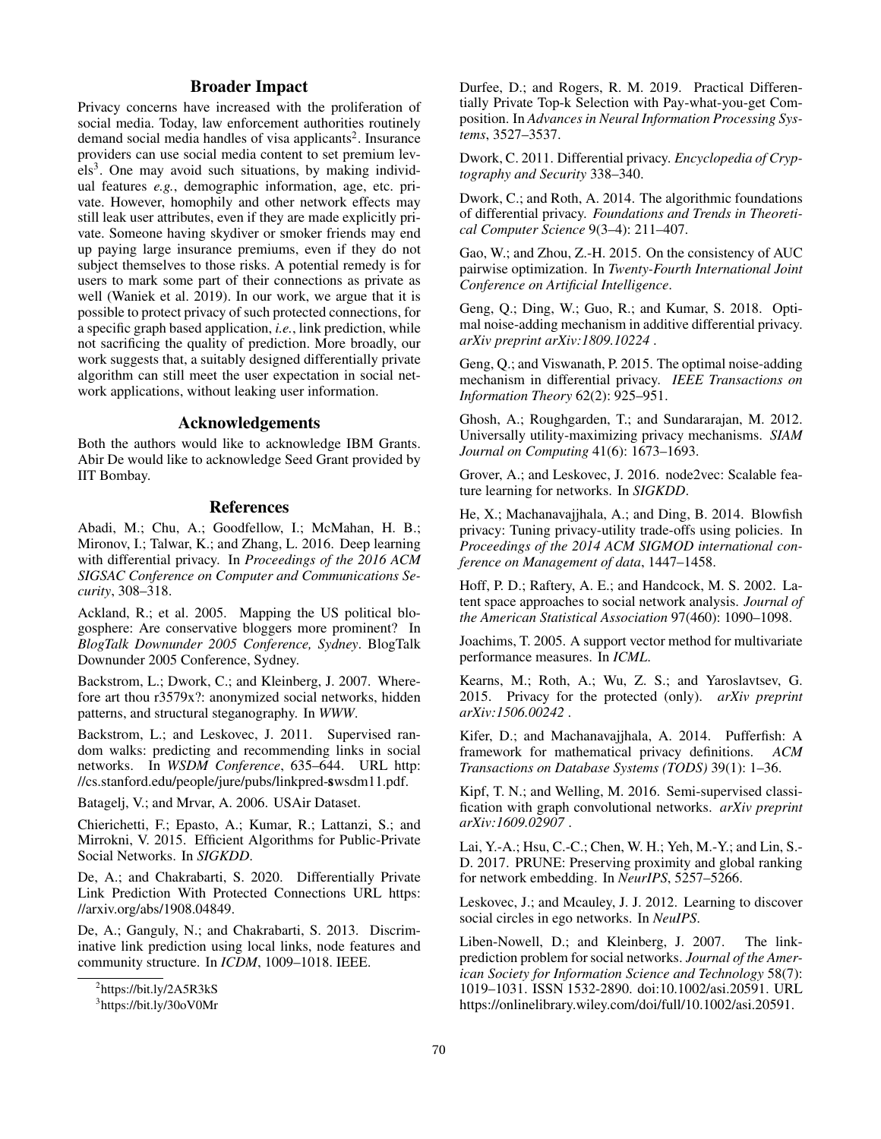# Broader Impact

Privacy concerns have increased with the proliferation of social media. Today, law enforcement authorities routinely demand social media handles of visa applicants<sup>2</sup>. Insurance providers can use social media content to set premium levels<sup>3</sup>. One may avoid such situations, by making individual features *e.g.*, demographic information, age, etc. private. However, homophily and other network effects may still leak user attributes, even if they are made explicitly private. Someone having skydiver or smoker friends may end up paying large insurance premiums, even if they do not subject themselves to those risks. A potential remedy is for users to mark some part of their connections as private as well (Waniek et al. 2019). In our work, we argue that it is possible to protect privacy of such protected connections, for a specific graph based application, *i.e.*, link prediction, while not sacrificing the quality of prediction. More broadly, our work suggests that, a suitably designed differentially private algorithm can still meet the user expectation in social network applications, without leaking user information.

## Acknowledgements

Both the authors would like to acknowledge IBM Grants. Abir De would like to acknowledge Seed Grant provided by IIT Bombay.

## References

Abadi, M.; Chu, A.; Goodfellow, I.; McMahan, H. B.; Mironov, I.; Talwar, K.; and Zhang, L. 2016. Deep learning with differential privacy. In *Proceedings of the 2016 ACM SIGSAC Conference on Computer and Communications Security*, 308–318.

Ackland, R.; et al. 2005. Mapping the US political blogosphere: Are conservative bloggers more prominent? In *BlogTalk Downunder 2005 Conference, Sydney*. BlogTalk Downunder 2005 Conference, Sydney.

Backstrom, L.; Dwork, C.; and Kleinberg, J. 2007. Wherefore art thou r3579x?: anonymized social networks, hidden patterns, and structural steganography. In *WWW*.

Backstrom, L.; and Leskovec, J. 2011. Supervised random walks: predicting and recommending links in social networks. In *WSDM Conference*, 635–644. URL http: //cs.stanford.edu/people/jure/pubs/linkpred-swsdm11.pdf.

Batagelj, V.; and Mrvar, A. 2006. USAir Dataset.

Chierichetti, F.; Epasto, A.; Kumar, R.; Lattanzi, S.; and Mirrokni, V. 2015. Efficient Algorithms for Public-Private Social Networks. In *SIGKDD*.

De, A.; and Chakrabarti, S. 2020. Differentially Private Link Prediction With Protected Connections URL https: //arxiv.org/abs/1908.04849.

De, A.; Ganguly, N.; and Chakrabarti, S. 2013. Discriminative link prediction using local links, node features and community structure. In *ICDM*, 1009–1018. IEEE.

Durfee, D.; and Rogers, R. M. 2019. Practical Differentially Private Top-k Selection with Pay-what-you-get Composition. In *Advances in Neural Information Processing Systems*, 3527–3537.

Dwork, C. 2011. Differential privacy. *Encyclopedia of Cryptography and Security* 338–340.

Dwork, C.; and Roth, A. 2014. The algorithmic foundations of differential privacy. *Foundations and Trends in Theoretical Computer Science* 9(3–4): 211–407.

Gao, W.; and Zhou, Z.-H. 2015. On the consistency of AUC pairwise optimization. In *Twenty-Fourth International Joint Conference on Artificial Intelligence*.

Geng, Q.; Ding, W.; Guo, R.; and Kumar, S. 2018. Optimal noise-adding mechanism in additive differential privacy. *arXiv preprint arXiv:1809.10224* .

Geng, Q.; and Viswanath, P. 2015. The optimal noise-adding mechanism in differential privacy. *IEEE Transactions on Information Theory* 62(2): 925–951.

Ghosh, A.; Roughgarden, T.; and Sundararajan, M. 2012. Universally utility-maximizing privacy mechanisms. *SIAM Journal on Computing* 41(6): 1673–1693.

Grover, A.; and Leskovec, J. 2016. node2vec: Scalable feature learning for networks. In *SIGKDD*.

He, X.; Machanavajjhala, A.; and Ding, B. 2014. Blowfish privacy: Tuning privacy-utility trade-offs using policies. In *Proceedings of the 2014 ACM SIGMOD international conference on Management of data*, 1447–1458.

Hoff, P. D.; Raftery, A. E.; and Handcock, M. S. 2002. Latent space approaches to social network analysis. *Journal of the American Statistical Association* 97(460): 1090–1098.

Joachims, T. 2005. A support vector method for multivariate performance measures. In *ICML*.

Kearns, M.; Roth, A.; Wu, Z. S.; and Yaroslavtsev, G. 2015. Privacy for the protected (only). *arXiv preprint arXiv:1506.00242* .

Kifer, D.; and Machanavajjhala, A. 2014. Pufferfish: A framework for mathematical privacy definitions. *ACM Transactions on Database Systems (TODS)* 39(1): 1–36.

Kipf, T. N.; and Welling, M. 2016. Semi-supervised classification with graph convolutional networks. *arXiv preprint arXiv:1609.02907* .

Lai, Y.-A.; Hsu, C.-C.; Chen, W. H.; Yeh, M.-Y.; and Lin, S.- D. 2017. PRUNE: Preserving proximity and global ranking for network embedding. In *NeurIPS*, 5257–5266.

Leskovec, J.; and Mcauley, J. J. 2012. Learning to discover social circles in ego networks. In *NeuIPS*.

Liben-Nowell, D.; and Kleinberg, J. 2007. The linkprediction problem for social networks. *Journal of the American Society for Information Science and Technology* 58(7): 1019–1031. ISSN 1532-2890. doi:10.1002/asi.20591. URL https://onlinelibrary.wiley.com/doi/full/10.1002/asi.20591.

<sup>&</sup>lt;sup>2</sup>https://bit.ly/2A5R3kS

<sup>3</sup> https://bit.ly/30oV0Mr